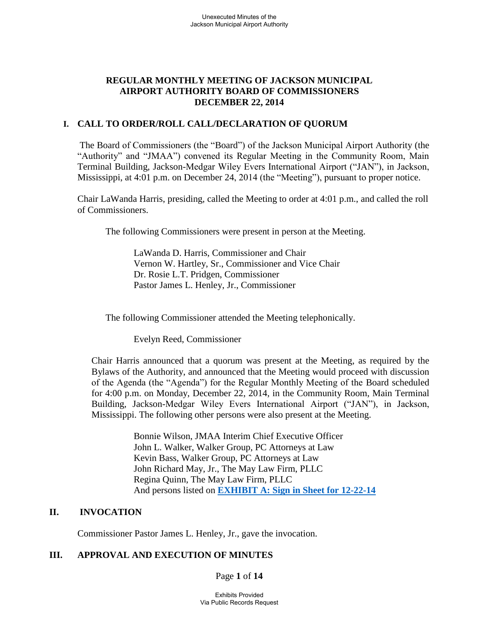### **REGULAR MONTHLY MEETING OF JACKSON MUNICIPAL AIRPORT AUTHORITY BOARD OF COMMISSIONERS DECEMBER 22, 2014**

### **I. CALL TO ORDER/ROLL CALL/DECLARATION OF QUORUM**

 The Board of Commissioners (the "Board") of the Jackson Municipal Airport Authority (the "Authority" and "JMAA") convened its Regular Meeting in the Community Room, Main Terminal Building, Jackson-Medgar Wiley Evers International Airport ("JAN"), in Jackson, Mississippi, at 4:01 p.m. on December 24, 2014 (the "Meeting"), pursuant to proper notice.

Chair LaWanda Harris, presiding, called the Meeting to order at 4:01 p.m., and called the roll of Commissioners.

The following Commissioners were present in person at the Meeting.

LaWanda D. Harris, Commissioner and Chair Vernon W. Hartley, Sr., Commissioner and Vice Chair Dr. Rosie L.T. Pridgen, Commissioner Pastor James L. Henley, Jr., Commissioner

The following Commissioner attended the Meeting telephonically.

Evelyn Reed, Commissioner

Chair Harris announced that a quorum was present at the Meeting, as required by the Bylaws of the Authority, and announced that the Meeting would proceed with discussion of the Agenda (the "Agenda") for the Regular Monthly Meeting of the Board scheduled for 4:00 p.m. on Monday, December 22, 2014, in the Community Room, Main Terminal Building, Jackson-Medgar Wiley Evers International Airport ("JAN"), in Jackson, Mississippi. The following other persons were also present at the Meeting.

> Bonnie Wilson, JMAA Interim Chief Executive Officer John L. Walker, Walker Group, PC Attorneys at Law Kevin Bass, Walker Group, PC Attorneys at Law John Richard May, Jr., The May Law Firm, PLLC Regina Quinn, The May Law Firm, PLLC And persons listed on **[EXHIBIT A: Sign in Sheet for 12-22-14](Sign-in%20Sheet%20Board%20Meeting%20December%2022%202014.pdf)**

### **II. INVOCATION**

Commissioner Pastor James L. Henley, Jr., gave the invocation.

### **III. APPROVAL AND EXECUTION OF MINUTES**

Page **1** of **14**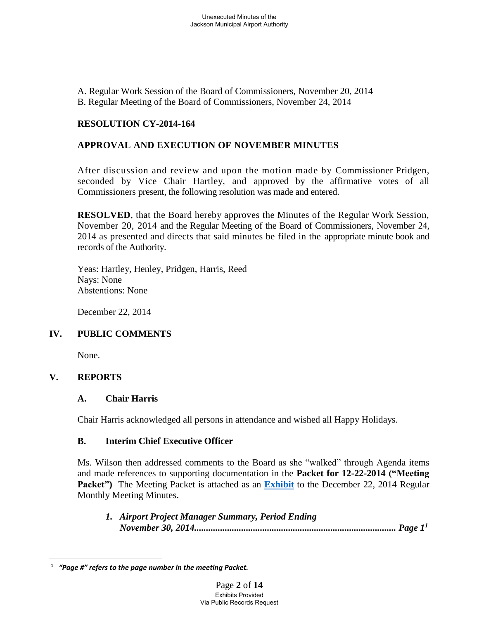A. Regular Work Session of the Board of Commissioners, November 20, 2014 B. Regular Meeting of the Board of Commissioners, November 24, 2014

# **RESOLUTION CY-2014-164**

# **APPROVAL AND EXECUTION OF NOVEMBER MINUTES**

After discussion and review and upon the motion made by Commissioner Pridgen, seconded by Vice Chair Hartley, and approved by the affirmative votes of all Commissioners present, the following resolution was made and entered.

**RESOLVED**, that the Board hereby approves the Minutes of the Regular Work Session, November 20, 2014 and the Regular Meeting of the Board of Commissioners, November 24, 2014 as presented and directs that said minutes be filed in the appropriate minute book and records of the Authority.

Yeas: Hartley, Henley, Pridgen, Harris, Reed Nays: None Abstentions: None

December 22, 2014

### **IV. PUBLIC COMMENTS**

None.

### **V. REPORTS**

 $\overline{a}$ 

### **A. Chair Harris**

Chair Harris acknowledged all persons in attendance and wished all Happy Holidays.

#### **B. Interim Chief Executive Officer**

Ms. Wilson then addressed comments to the Board as she "walked" through Agenda items and made references to supporting documentation in the **Packet for 12-22-2014 ("Meeting Packet")** The Meeting Packet is attached as an **[Exhibit](Packet%2012-22-14.pdf)** to the December 22, 2014 Regular Monthly Meeting Minutes.

*1. Airport Project Manager Summary, Period Ending November 30, 2014...................................................................................... Page 1<sup>1</sup>*

<sup>1</sup>  *"Page #" refers to the page number in the meeting Packet.*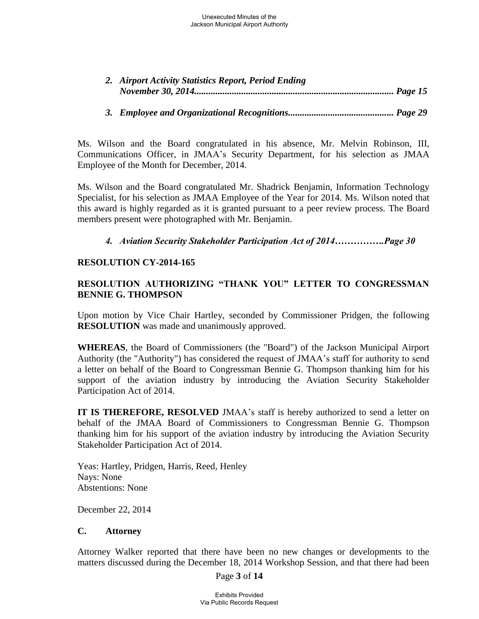| 2. Airport Activity Statistics Report, Period Ending |  |
|------------------------------------------------------|--|
|                                                      |  |

### *3. Employee and Organizational Recognitions............................................. Page 29*

Ms. Wilson and the Board congratulated in his absence, Mr. Melvin Robinson, III, Communications Officer, in JMAA's Security Department, for his selection as JMAA Employee of the Month for December, 2014.

Ms. Wilson and the Board congratulated Mr. Shadrick Benjamin, Information Technology Specialist, for his selection as JMAA Employee of the Year for 2014. Ms. Wilson noted that this award is highly regarded as it is granted pursuant to a peer review process. The Board members present were photographed with Mr. Benjamin.

### *4. Aviation Security Stakeholder Participation Act of 2014…………….Page 30*

#### **RESOLUTION CY-2014-165**

# **RESOLUTION AUTHORIZING "THANK YOU" LETTER TO CONGRESSMAN BENNIE G. THOMPSON**

Upon motion by Vice Chair Hartley, seconded by Commissioner Pridgen, the following **RESOLUTION** was made and unanimously approved.

**WHEREAS**, the Board of Commissioners (the "Board") of the Jackson Municipal Airport Authority (the "Authority") has considered the request of JMAA's staff for authority to send a letter on behalf of the Board to Congressman Bennie G. Thompson thanking him for his support of the aviation industry by introducing the Aviation Security Stakeholder Participation Act of 2014.

**IT IS THEREFORE, RESOLVED** JMAA's staff is hereby authorized to send a letter on behalf of the JMAA Board of Commissioners to Congressman Bennie G. Thompson thanking him for his support of the aviation industry by introducing the Aviation Security Stakeholder Participation Act of 2014.

Yeas: Hartley, Pridgen, Harris, Reed, Henley Nays: None Abstentions: None

December 22, 2014

#### **C. Attorney**

Attorney Walker reported that there have been no new changes or developments to the matters discussed during the December 18, 2014 Workshop Session, and that there had been

Page **3** of **14**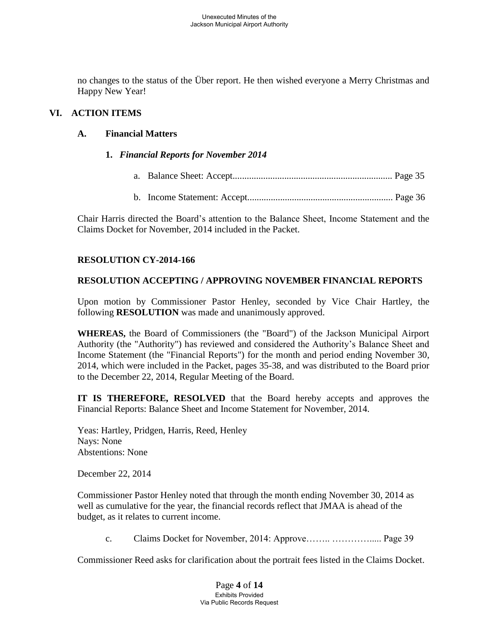no changes to the status of the Über report. He then wished everyone a Merry Christmas and Happy New Year!

# **VI. ACTION ITEMS**

### **A. Financial Matters**

- **1.** *Financial Reports for November 2014*
	- a. Balance Sheet: Accept.................................................................... Page 35
	- b. Income Statement: Accept.............................................................. Page 36

Chair Harris directed the Board's attention to the Balance Sheet, Income Statement and the Claims Docket for November, 2014 included in the Packet.

# **RESOLUTION CY-2014-166**

### **RESOLUTION ACCEPTING / APPROVING NOVEMBER FINANCIAL REPORTS**

Upon motion by Commissioner Pastor Henley, seconded by Vice Chair Hartley, the following **RESOLUTION** was made and unanimously approved.

**WHEREAS,** the Board of Commissioners (the "Board") of the Jackson Municipal Airport Authority (the "Authority") has reviewed and considered the Authority's Balance Sheet and Income Statement (the "Financial Reports") for the month and period ending November 30, 2014, which were included in the Packet, pages 35-38, and was distributed to the Board prior to the December 22, 2014, Regular Meeting of the Board.

**IT IS THEREFORE, RESOLVED** that the Board hereby accepts and approves the Financial Reports: Balance Sheet and Income Statement for November, 2014.

Yeas: Hartley, Pridgen, Harris, Reed, Henley Nays: None Abstentions: None

December 22, 2014

Commissioner Pastor Henley noted that through the month ending November 30, 2014 as well as cumulative for the year, the financial records reflect that JMAA is ahead of the budget, as it relates to current income.

c. Claims Docket for November, 2014: Approve…….. …………..... Page 39

Commissioner Reed asks for clarification about the portrait fees listed in the Claims Docket.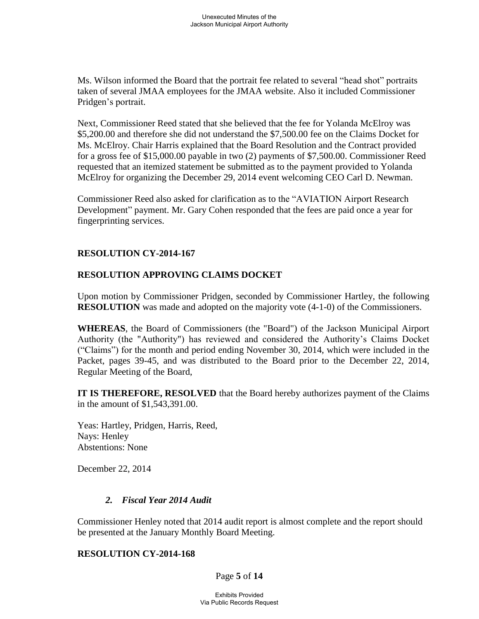Ms. Wilson informed the Board that the portrait fee related to several "head shot" portraits taken of several JMAA employees for the JMAA website. Also it included Commissioner Pridgen's portrait.

Next, Commissioner Reed stated that she believed that the fee for Yolanda McElroy was \$5,200.00 and therefore she did not understand the \$7,500.00 fee on the Claims Docket for Ms. McElroy. Chair Harris explained that the Board Resolution and the Contract provided for a gross fee of \$15,000.00 payable in two (2) payments of \$7,500.00. Commissioner Reed requested that an itemized statement be submitted as to the payment provided to Yolanda McElroy for organizing the December 29, 2014 event welcoming CEO Carl D. Newman.

Commissioner Reed also asked for clarification as to the "AVIATION Airport Research Development" payment. Mr. Gary Cohen responded that the fees are paid once a year for fingerprinting services.

### **RESOLUTION CY-2014-167**

#### **RESOLUTION APPROVING CLAIMS DOCKET**

Upon motion by Commissioner Pridgen, seconded by Commissioner Hartley, the following **RESOLUTION** was made and adopted on the majority vote (4-1-0) of the Commissioners.

**WHEREAS**, the Board of Commissioners (the "Board") of the Jackson Municipal Airport Authority (the "Authority") has reviewed and considered the Authority's Claims Docket ("Claims") for the month and period ending November 30, 2014, which were included in the Packet, pages 39-45, and was distributed to the Board prior to the December 22, 2014, Regular Meeting of the Board,

**IT IS THEREFORE, RESOLVED** that the Board hereby authorizes payment of the Claims in the amount of \$1,543,391.00.

Yeas: Hartley, Pridgen, Harris, Reed, Nays: Henley Abstentions: None

December 22, 2014

### *2. Fiscal Year 2014 Audit*

Commissioner Henley noted that 2014 audit report is almost complete and the report should be presented at the January Monthly Board Meeting.

#### **RESOLUTION CY-2014-168**

Page **5** of **14**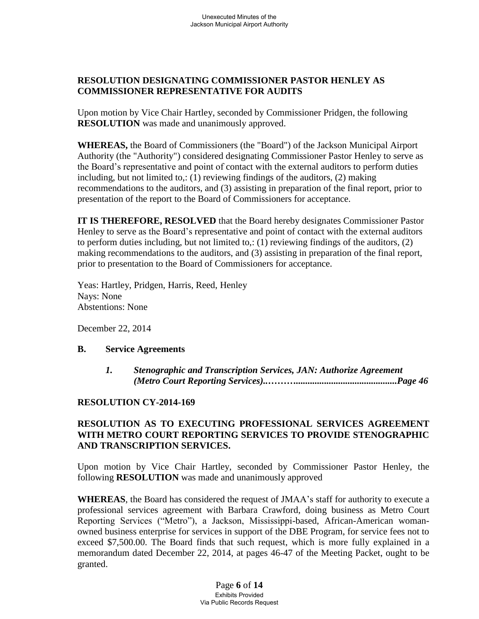# **RESOLUTION DESIGNATING COMMISSIONER PASTOR HENLEY AS COMMISSIONER REPRESENTATIVE FOR AUDITS**

Upon motion by Vice Chair Hartley, seconded by Commissioner Pridgen, the following **RESOLUTION** was made and unanimously approved.

**WHEREAS,** the Board of Commissioners (the "Board") of the Jackson Municipal Airport Authority (the "Authority") considered designating Commissioner Pastor Henley to serve as the Board's representative and point of contact with the external auditors to perform duties including, but not limited to,: (1) reviewing findings of the auditors, (2) making recommendations to the auditors, and (3) assisting in preparation of the final report, prior to presentation of the report to the Board of Commissioners for acceptance.

**IT IS THEREFORE, RESOLVED** that the Board hereby designates Commissioner Pastor Henley to serve as the Board's representative and point of contact with the external auditors to perform duties including, but not limited to,: (1) reviewing findings of the auditors, (2) making recommendations to the auditors, and (3) assisting in preparation of the final report, prior to presentation to the Board of Commissioners for acceptance.

Yeas: Hartley, Pridgen, Harris, Reed, Henley Nays: None Abstentions: None

December 22, 2014

#### **B. Service Agreements**

 *1. Stenographic and Transcription Services, JAN: Authorize Agreement (Metro Court Reporting Services)..………...........................................Page 46* 

### **RESOLUTION CY-2014-169**

### **RESOLUTION AS TO EXECUTING PROFESSIONAL SERVICES AGREEMENT WITH METRO COURT REPORTING SERVICES TO PROVIDE STENOGRAPHIC AND TRANSCRIPTION SERVICES.**

Upon motion by Vice Chair Hartley, seconded by Commissioner Pastor Henley, the following **RESOLUTION** was made and unanimously approved

**WHEREAS**, the Board has considered the request of JMAA's staff for authority to execute a professional services agreement with Barbara Crawford, doing business as Metro Court Reporting Services ("Metro"), a Jackson, Mississippi-based, African-American womanowned business enterprise for services in support of the DBE Program, for service fees not to exceed \$7,500.00. The Board finds that such request, which is more fully explained in a memorandum dated December 22, 2014, at pages 46-47 of the Meeting Packet, ought to be granted.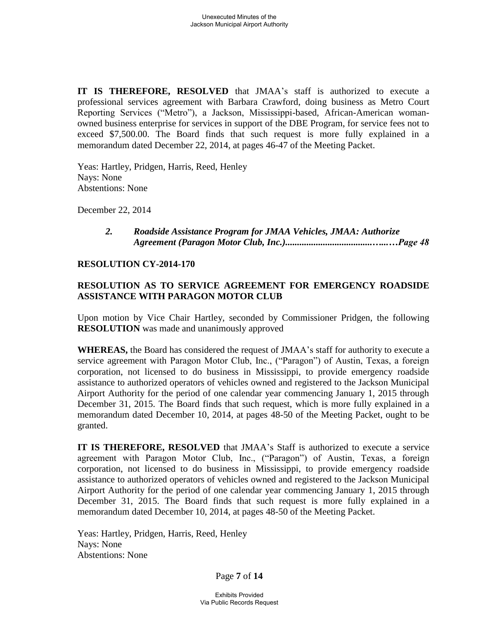**IT IS THEREFORE, RESOLVED** that JMAA's staff is authorized to execute a professional services agreement with Barbara Crawford, doing business as Metro Court Reporting Services ("Metro"), a Jackson, Mississippi-based, African-American womanowned business enterprise for services in support of the DBE Program, for service fees not to exceed \$7,500.00. The Board finds that such request is more fully explained in a memorandum dated December 22, 2014, at pages 46-47 of the Meeting Packet.

 Yeas: Hartley, Pridgen, Harris, Reed, Henley Nays: None Abstentions: None

December 22, 2014

 *2. Roadside Assistance Program for JMAA Vehicles, JMAA: Authorize Agreement (Paragon Motor Club, Inc.).....................................…...…Page 48*

#### **RESOLUTION CY-2014-170**

### **RESOLUTION AS TO SERVICE AGREEMENT FOR EMERGENCY ROADSIDE ASSISTANCE WITH PARAGON MOTOR CLUB**

Upon motion by Vice Chair Hartley, seconded by Commissioner Pridgen, the following **RESOLUTION** was made and unanimously approved

**WHEREAS,** the Board has considered the request of JMAA's staff for authority to execute a service agreement with Paragon Motor Club, Inc., ("Paragon") of Austin, Texas, a foreign corporation, not licensed to do business in Mississippi, to provide emergency roadside assistance to authorized operators of vehicles owned and registered to the Jackson Municipal Airport Authority for the period of one calendar year commencing January 1, 2015 through December 31, 2015. The Board finds that such request, which is more fully explained in a memorandum dated December 10, 2014, at pages 48-50 of the Meeting Packet, ought to be granted.

**IT IS THEREFORE, RESOLVED** that JMAA's Staff is authorized to execute a service agreement with Paragon Motor Club, Inc., ("Paragon") of Austin, Texas, a foreign corporation, not licensed to do business in Mississippi, to provide emergency roadside assistance to authorized operators of vehicles owned and registered to the Jackson Municipal Airport Authority for the period of one calendar year commencing January 1, 2015 through December 31, 2015. The Board finds that such request is more fully explained in a memorandum dated December 10, 2014, at pages 48-50 of the Meeting Packet.

Yeas: Hartley, Pridgen, Harris, Reed, Henley Nays: None Abstentions: None

Page **7** of **14**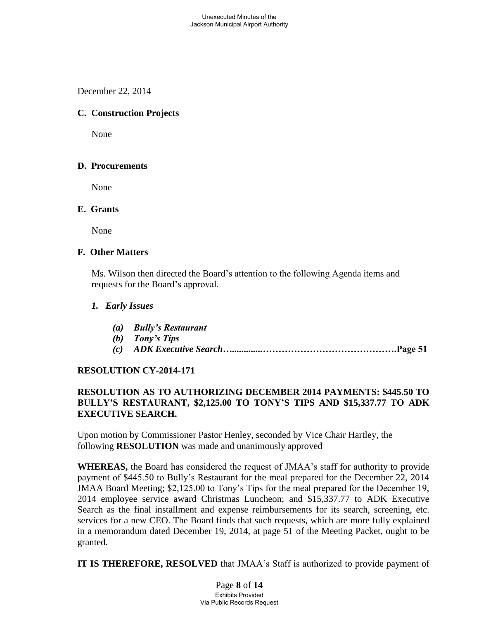December 22, 2014

# **C. Construction Projects**

None

### **D. Procurements**

None

#### **E. Grants**

None

#### **F. Other Matters**

Ms. Wilson then directed the Board's attention to the following Agenda items and requests for the Board's approval.

### *1. Early Issues*

- *(a) Bully's Restaurant*
- *(b) Tony's Tips*
- *(c) ADK Executive Search….............***…………………………………….Page 51**

### **RESOLUTION CY-2014-171**

# **RESOLUTION AS TO AUTHORIZING DECEMBER 2014 PAYMENTS: \$445.50 TO BULLY'S RESTAURANT, \$2,125.00 TO TONY'S TIPS AND \$15,337.77 TO ADK EXECUTIVE SEARCH.**

Upon motion by Commissioner Pastor Henley, seconded by Vice Chair Hartley, the following **RESOLUTION** was made and unanimously approved

**WHEREAS,** the Board has considered the request of JMAA's staff for authority to provide payment of \$445.50 to Bully's Restaurant for the meal prepared for the December 22, 2014 JMAA Board Meeting; \$2,125.00 to Tony's Tips for the meal prepared for the December 19, 2014 employee service award Christmas Luncheon; and \$15,337.77 to ADK Executive Search as the final installment and expense reimbursements for its search, screening, etc. services for a new CEO. The Board finds that such requests, which are more fully explained in a memorandum dated December 19, 2014, at page 51 of the Meeting Packet, ought to be granted.

**IT IS THEREFORE, RESOLVED** that JMAA's Staff is authorized to provide payment of

Page **8** of **14** Exhibits Provided Via Public Records Request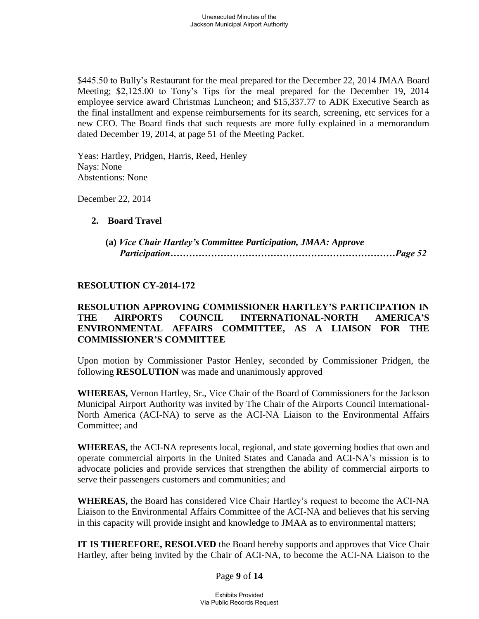\$445.50 to Bully's Restaurant for the meal prepared for the December 22, 2014 JMAA Board Meeting; \$2,125.00 to Tony's Tips for the meal prepared for the December 19, 2014 employee service award Christmas Luncheon; and \$15,337.77 to ADK Executive Search as the final installment and expense reimbursements for its search, screening, etc services for a new CEO. The Board finds that such requests are more fully explained in a memorandum dated December 19, 2014, at page 51 of the Meeting Packet.

Yeas: Hartley, Pridgen, Harris, Reed, Henley Nays: None Abstentions: None

December 22, 2014

#### **2. Board Travel**

| (a) Vice Chair Hartley's Committee Participation, JMAA: Approve |  |
|-----------------------------------------------------------------|--|
|                                                                 |  |

#### **RESOLUTION CY-2014-172**

### **RESOLUTION APPROVING COMMISSIONER HARTLEY'S PARTICIPATION IN THE AIRPORTS COUNCIL INTERNATIONAL-NORTH AMERICA'S ENVIRONMENTAL AFFAIRS COMMITTEE, AS A LIAISON FOR THE COMMISSIONER'S COMMITTEE**

Upon motion by Commissioner Pastor Henley, seconded by Commissioner Pridgen, the following **RESOLUTION** was made and unanimously approved

**WHEREAS,** Vernon Hartley, Sr., Vice Chair of the Board of Commissioners for the Jackson Municipal Airport Authority was invited by The Chair of the Airports Council International-North America (ACI-NA) to serve as the ACI-NA Liaison to the Environmental Affairs Committee; and

**WHEREAS,** the ACI-NA represents local, regional, and state governing bodies that own and operate commercial airports in the United States and Canada and ACI-NA's mission is to advocate policies and provide services that strengthen the ability of commercial airports to serve their passengers customers and communities; and

**WHEREAS,** the Board has considered Vice Chair Hartley's request to become the ACI-NA Liaison to the Environmental Affairs Committee of the ACI-NA and believes that his serving in this capacity will provide insight and knowledge to JMAA as to environmental matters;

**IT IS THEREFORE, RESOLVED** the Board hereby supports and approves that Vice Chair Hartley, after being invited by the Chair of ACI-NA, to become the ACI-NA Liaison to the

Page **9** of **14**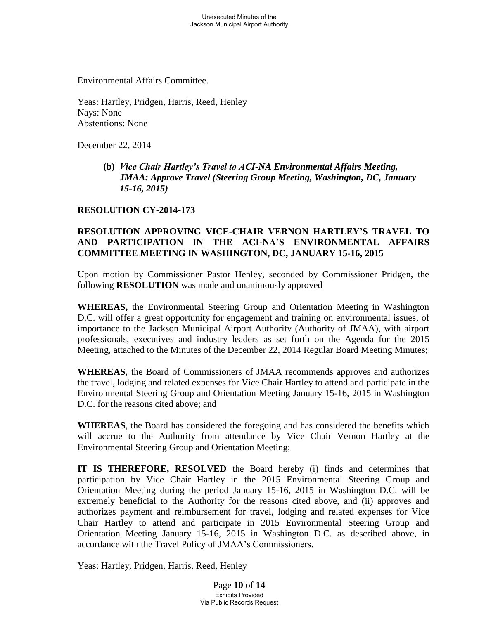Environmental Affairs Committee.

Yeas: Hartley, Pridgen, Harris, Reed, Henley Nays: None Abstentions: None

December 22, 2014

 **(b)** *Vice Chair Hartley's Travel to ACI-NA Environmental Affairs Meeting, JMAA: Approve Travel (Steering Group Meeting, Washington, DC, January 15-16, 2015)* 

#### **RESOLUTION CY-2014-173**

### **RESOLUTION APPROVING VICE-CHAIR VERNON HARTLEY'S TRAVEL TO AND PARTICIPATION IN THE ACI-NA'S ENVIRONMENTAL AFFAIRS COMMITTEE MEETING IN WASHINGTON, DC, JANUARY 15-16, 2015**

Upon motion by Commissioner Pastor Henley, seconded by Commissioner Pridgen, the following **RESOLUTION** was made and unanimously approved

**WHEREAS,** the Environmental Steering Group and Orientation Meeting in Washington D.C. will offer a great opportunity for engagement and training on environmental issues, of importance to the Jackson Municipal Airport Authority (Authority of JMAA), with airport professionals, executives and industry leaders as set forth on the Agenda for the 2015 Meeting, attached to the Minutes of the December 22, 2014 Regular Board Meeting Minutes;

**WHEREAS**, the Board of Commissioners of JMAA recommends approves and authorizes the travel, lodging and related expenses for Vice Chair Hartley to attend and participate in the Environmental Steering Group and Orientation Meeting January 15-16, 2015 in Washington D.C. for the reasons cited above; and

**WHEREAS**, the Board has considered the foregoing and has considered the benefits which will accrue to the Authority from attendance by Vice Chair Vernon Hartley at the Environmental Steering Group and Orientation Meeting;

**IT IS THEREFORE, RESOLVED** the Board hereby (i) finds and determines that participation by Vice Chair Hartley in the 2015 Environmental Steering Group and Orientation Meeting during the period January 15-16, 2015 in Washington D.C. will be extremely beneficial to the Authority for the reasons cited above, and (ii) approves and authorizes payment and reimbursement for travel, lodging and related expenses for Vice Chair Hartley to attend and participate in 2015 Environmental Steering Group and Orientation Meeting January 15-16, 2015 in Washington D.C. as described above, in accordance with the Travel Policy of JMAA's Commissioners.

Yeas: Hartley, Pridgen, Harris, Reed, Henley

Page **10** of **14** Exhibits Provided Via Public Records Request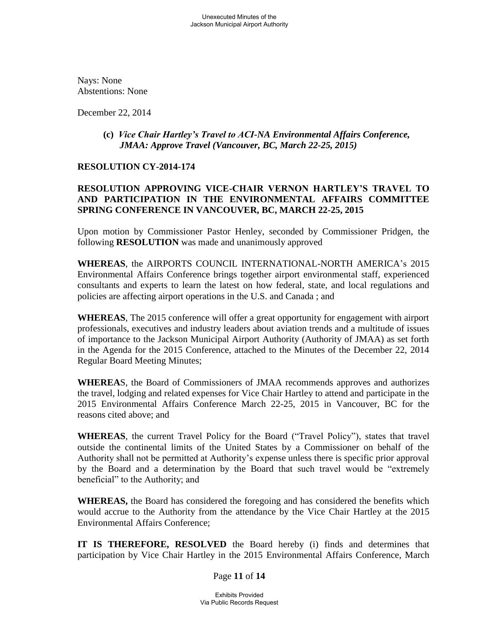Nays: None Abstentions: None

December 22, 2014

#### **(c)** *Vice Chair Hartley's Travel to ACI-NA Environmental Affairs Conference, JMAA: Approve Travel (Vancouver, BC, March 22-25, 2015)*

#### **RESOLUTION CY-2014-174**

# **RESOLUTION APPROVING VICE-CHAIR VERNON HARTLEY'S TRAVEL TO AND PARTICIPATION IN THE ENVIRONMENTAL AFFAIRS COMMITTEE SPRING CONFERENCE IN VANCOUVER, BC, MARCH 22-25, 2015**

Upon motion by Commissioner Pastor Henley, seconded by Commissioner Pridgen, the following **RESOLUTION** was made and unanimously approved

**WHEREAS**, the AIRPORTS COUNCIL INTERNATIONAL-NORTH AMERICA's 2015 Environmental Affairs Conference brings together airport environmental staff, experienced consultants and experts to learn the latest on how federal, state, and local regulations and policies are affecting airport operations in the U.S. and Canada ; and

**WHEREAS**, The 2015 conference will offer a great opportunity for engagement with airport professionals, executives and industry leaders about aviation trends and a multitude of issues of importance to the Jackson Municipal Airport Authority (Authority of JMAA) as set forth in the Agenda for the 2015 Conference, attached to the Minutes of the December 22, 2014 Regular Board Meeting Minutes;

**WHEREA**S, the Board of Commissioners of JMAA recommends approves and authorizes the travel, lodging and related expenses for Vice Chair Hartley to attend and participate in the 2015 Environmental Affairs Conference March 22-25, 2015 in Vancouver, BC for the reasons cited above; and

**WHEREAS**, the current Travel Policy for the Board ("Travel Policy"), states that travel outside the continental limits of the United States by a Commissioner on behalf of the Authority shall not be permitted at Authority's expense unless there is specific prior approval by the Board and a determination by the Board that such travel would be "extremely beneficial" to the Authority; and

**WHEREAS,** the Board has considered the foregoing and has considered the benefits which would accrue to the Authority from the attendance by the Vice Chair Hartley at the 2015 Environmental Affairs Conference;

**IT IS THEREFORE, RESOLVED** the Board hereby (i) finds and determines that participation by Vice Chair Hartley in the 2015 Environmental Affairs Conference, March

Page **11** of **14**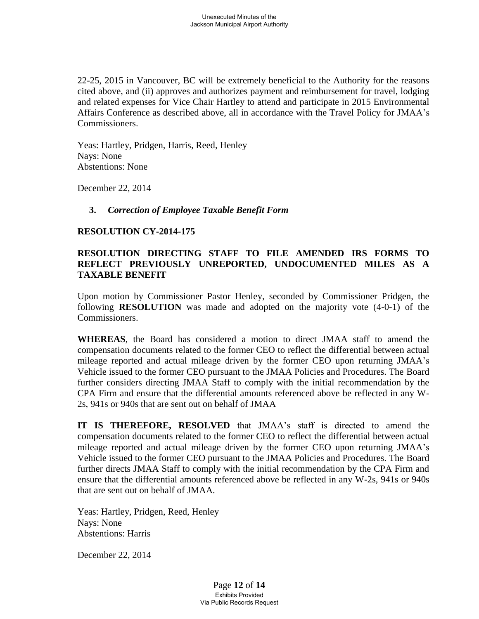22-25, 2015 in Vancouver, BC will be extremely beneficial to the Authority for the reasons cited above, and (ii) approves and authorizes payment and reimbursement for travel, lodging and related expenses for Vice Chair Hartley to attend and participate in 2015 Environmental Affairs Conference as described above, all in accordance with the Travel Policy for JMAA's Commissioners.

Yeas: Hartley, Pridgen, Harris, Reed, Henley Nays: None Abstentions: None

December 22, 2014

#### **3.** *Correction of Employee Taxable Benefit Form*

#### **RESOLUTION CY-2014-175**

### **RESOLUTION DIRECTING STAFF TO FILE AMENDED IRS FORMS TO REFLECT PREVIOUSLY UNREPORTED, UNDOCUMENTED MILES AS A TAXABLE BENEFIT**

Upon motion by Commissioner Pastor Henley, seconded by Commissioner Pridgen, the following **RESOLUTION** was made and adopted on the majority vote (4-0-1) of the Commissioners.

**WHEREAS**, the Board has considered a motion to direct JMAA staff to amend the compensation documents related to the former CEO to reflect the differential between actual mileage reported and actual mileage driven by the former CEO upon returning JMAA's Vehicle issued to the former CEO pursuant to the JMAA Policies and Procedures. The Board further considers directing JMAA Staff to comply with the initial recommendation by the CPA Firm and ensure that the differential amounts referenced above be reflected in any W-2s, 941s or 940s that are sent out on behalf of JMAA

**IT IS THEREFORE, RESOLVED** that JMAA's staff is directed to amend the compensation documents related to the former CEO to reflect the differential between actual mileage reported and actual mileage driven by the former CEO upon returning JMAA's Vehicle issued to the former CEO pursuant to the JMAA Policies and Procedures. The Board further directs JMAA Staff to comply with the initial recommendation by the CPA Firm and ensure that the differential amounts referenced above be reflected in any W-2s, 941s or 940s that are sent out on behalf of JMAA.

Yeas: Hartley, Pridgen, Reed, Henley Nays: None Abstentions: Harris

December 22, 2014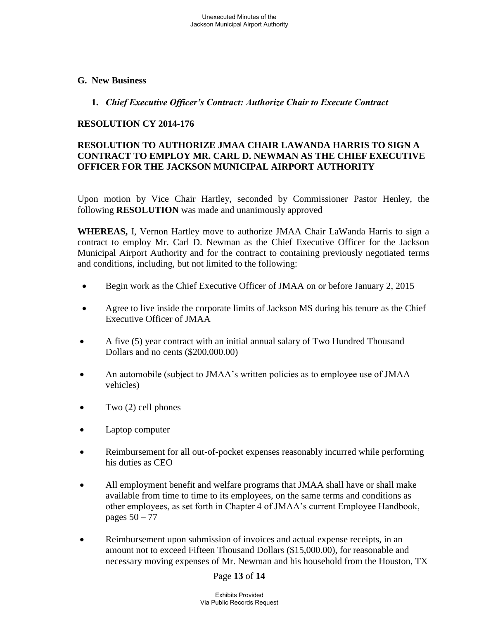**G. New Business** 

#### **1.** *Chief Executive Officer's Contract: Authorize Chair to Execute Contract*

#### **RESOLUTION CY 2014-176**

# **RESOLUTION TO AUTHORIZE JMAA CHAIR LAWANDA HARRIS TO SIGN A CONTRACT TO EMPLOY MR. CARL D. NEWMAN AS THE CHIEF EXECUTIVE OFFICER FOR THE JACKSON MUNICIPAL AIRPORT AUTHORITY**

Upon motion by Vice Chair Hartley, seconded by Commissioner Pastor Henley, the following **RESOLUTION** was made and unanimously approved

**WHEREAS,** I, Vernon Hartley move to authorize JMAA Chair LaWanda Harris to sign a contract to employ Mr. Carl D. Newman as the Chief Executive Officer for the Jackson Municipal Airport Authority and for the contract to containing previously negotiated terms and conditions, including, but not limited to the following:

- Begin work as the Chief Executive Officer of JMAA on or before January 2, 2015
- Agree to live inside the corporate limits of Jackson MS during his tenure as the Chief Executive Officer of JMAA
- A five (5) year contract with an initial annual salary of Two Hundred Thousand Dollars and no cents (\$200,000.00)
- An automobile (subject to JMAA's written policies as to employee use of JMAA vehicles)
- Two (2) cell phones
- Laptop computer
- Reimbursement for all out-of-pocket expenses reasonably incurred while performing his duties as CEO
- All employment benefit and welfare programs that JMAA shall have or shall make available from time to time to its employees, on the same terms and conditions as other employees, as set forth in Chapter 4 of JMAA's current Employee Handbook, pages 50 – 77
- Reimbursement upon submission of invoices and actual expense receipts, in an amount not to exceed Fifteen Thousand Dollars (\$15,000.00), for reasonable and necessary moving expenses of Mr. Newman and his household from the Houston, TX

#### Page **13** of **14**